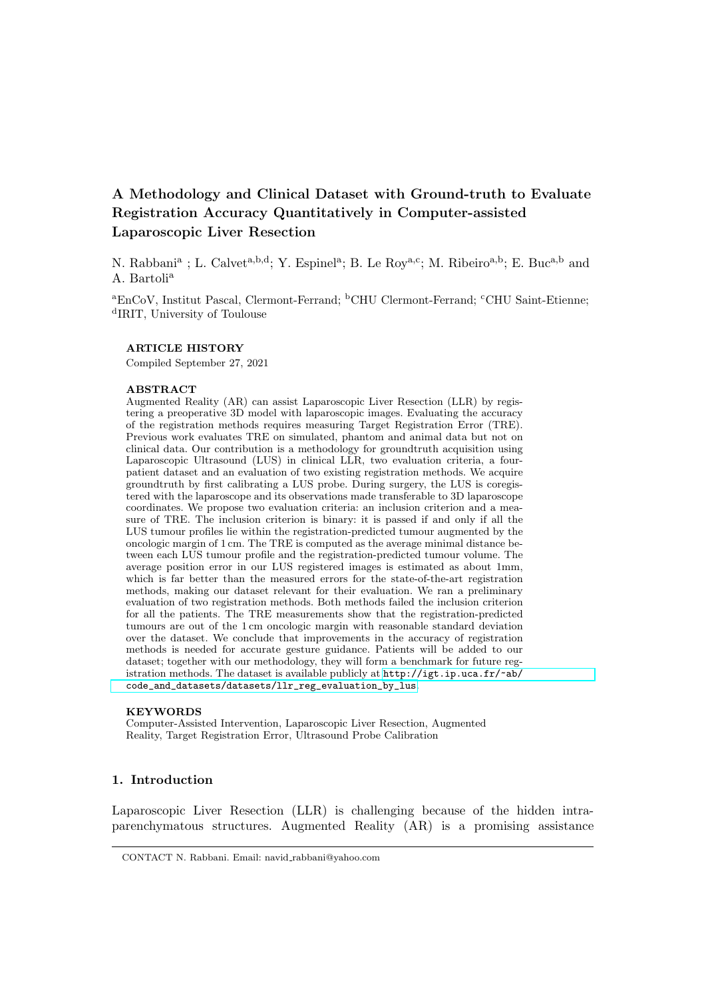# A Methodology and Clinical Dataset with Ground-truth to Evaluate Registration Accuracy Quantitatively in Computer-assisted Laparoscopic Liver Resection

N. Rabbani<sup>a</sup>; L. Calvet<sup>a,b,d</sup>; Y. Espinel<sup>a</sup>; B. Le Roy<sup>a,c</sup>; M. Ribeiro<sup>a,b</sup>; E. Buc<sup>a,b</sup> and A. Bartoli<sup>a</sup>

<sup>a</sup>EnCoV, Institut Pascal, Clermont-Ferrand; <sup>b</sup>CHU Clermont-Ferrand; <sup>c</sup>CHU Saint-Etienne; d IRIT, University of Toulouse

#### ARTICLE HISTORY

Compiled September 27, 2021

#### ABSTRACT

Augmented Reality (AR) can assist Laparoscopic Liver Resection (LLR) by registering a preoperative 3D model with laparoscopic images. Evaluating the accuracy of the registration methods requires measuring Target Registration Error (TRE). Previous work evaluates TRE on simulated, phantom and animal data but not on clinical data. Our contribution is a methodology for groundtruth acquisition using Laparoscopic Ultrasound (LUS) in clinical LLR, two evaluation criteria, a fourpatient dataset and an evaluation of two existing registration methods. We acquire groundtruth by first calibrating a LUS probe. During surgery, the LUS is coregistered with the laparoscope and its observations made transferable to 3D laparoscope coordinates. We propose two evaluation criteria: an inclusion criterion and a measure of TRE. The inclusion criterion is binary: it is passed if and only if all the LUS tumour profiles lie within the registration-predicted tumour augmented by the oncologic margin of 1 cm. The TRE is computed as the average minimal distance between each LUS tumour profile and the registration-predicted tumour volume. The average position error in our LUS registered images is estimated as about 1mm, which is far better than the measured errors for the state-of-the-art registration methods, making our dataset relevant for their evaluation. We ran a preliminary evaluation of two registration methods. Both methods failed the inclusion criterion for all the patients. The TRE measurements show that the registration-predicted tumours are out of the 1 cm oncologic margin with reasonable standard deviation over the dataset. We conclude that improvements in the accuracy of registration methods is needed for accurate gesture guidance. Patients will be added to our dataset; together with our methodology, they will form a benchmark for future registration methods. The dataset is available publicly at [http://igt.ip.uca.fr/~ab/](http://igt.ip.uca.fr/~ab/code_and_datasets/datasets/llr_reg_evaluation_by_lus) [code\\_and\\_datasets/datasets/llr\\_reg\\_evaluation\\_by\\_lus](http://igt.ip.uca.fr/~ab/code_and_datasets/datasets/llr_reg_evaluation_by_lus).

#### KEYWORDS

Computer-Assisted Intervention, Laparoscopic Liver Resection, Augmented Reality, Target Registration Error, Ultrasound Probe Calibration

# 1. Introduction

Laparoscopic Liver Resection (LLR) is challenging because of the hidden intraparenchymatous structures. Augmented Reality (AR) is a promising assistance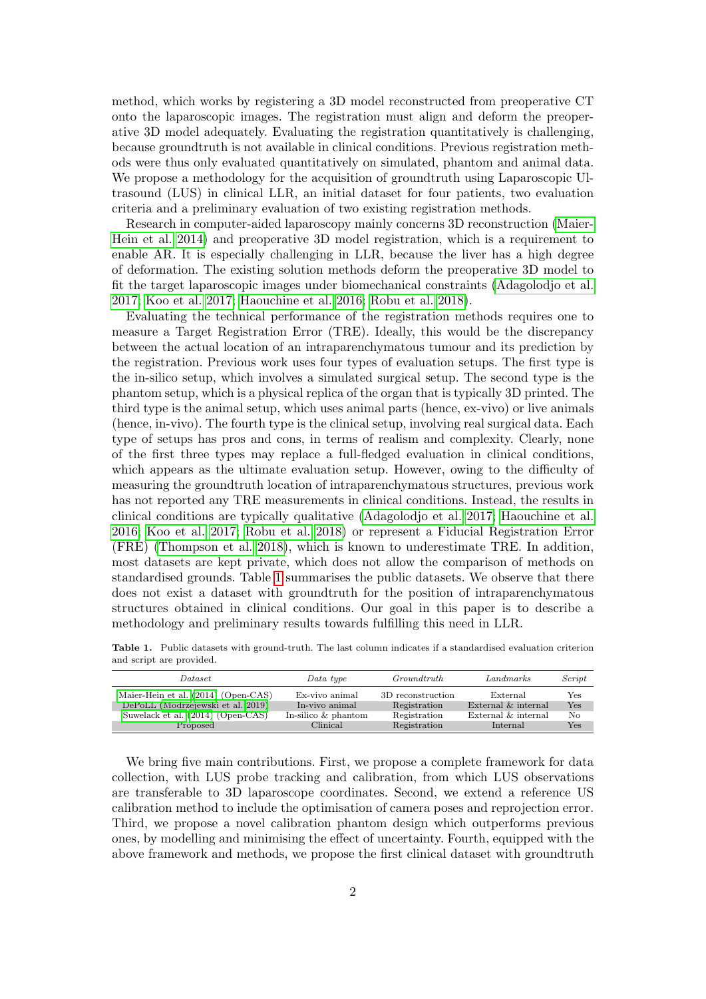method, which works by registering a 3D model reconstructed from preoperative CT onto the laparoscopic images. The registration must align and deform the preoperative 3D model adequately. Evaluating the registration quantitatively is challenging, because groundtruth is not available in clinical conditions. Previous registration methods were thus only evaluated quantitatively on simulated, phantom and animal data. We propose a methodology for the acquisition of groundtruth using Laparoscopic Ultrasound (LUS) in clinical LLR, an initial dataset for four patients, two evaluation criteria and a preliminary evaluation of two existing registration methods.

Research in computer-aided laparoscopy mainly concerns 3D reconstruction [\(Maier-](#page-14-0)[Hein et al. 2014\)](#page-14-0) and preoperative 3D model registration, which is a requirement to enable AR. It is especially challenging in LLR, because the liver has a high degree of deformation. The existing solution methods deform the preoperative 3D model to fit the target laparoscopic images under biomechanical constraints [\(Adagolodjo et al.](#page-13-0) [2017;](#page-13-0) [Koo et al. 2017;](#page-14-1) [Haouchine et al. 2016;](#page-13-1) [Robu et al. 2018\)](#page-14-2).

Evaluating the technical performance of the registration methods requires one to measure a Target Registration Error (TRE). Ideally, this would be the discrepancy between the actual location of an intraparenchymatous tumour and its prediction by the registration. Previous work uses four types of evaluation setups. The first type is the in-silico setup, which involves a simulated surgical setup. The second type is the phantom setup, which is a physical replica of the organ that is typically 3D printed. The third type is the animal setup, which uses animal parts (hence, ex-vivo) or live animals (hence, in-vivo). The fourth type is the clinical setup, involving real surgical data. Each type of setups has pros and cons, in terms of realism and complexity. Clearly, none of the first three types may replace a full-fledged evaluation in clinical conditions, which appears as the ultimate evaluation setup. However, owing to the difficulty of measuring the groundtruth location of intraparenchymatous structures, previous work has not reported any TRE measurements in clinical conditions. Instead, the results in clinical conditions are typically qualitative [\(Adagolodjo et al. 2017;](#page-13-0) [Haouchine et al.](#page-13-1) [2016;](#page-13-1) [Koo et al. 2017;](#page-14-1) [Robu et al. 2018\)](#page-14-2) or represent a Fiducial Registration Error (FRE) [\(Thompson et al. 2018\)](#page-14-3), which is known to underestimate TRE. In addition, most datasets are kept private, which does not allow the comparison of methods on standardised grounds. Table [1](#page-1-0) summarises the public datasets. We observe that there does not exist a dataset with groundtruth for the position of intraparenchymatous structures obtained in clinical conditions. Our goal in this paper is to describe a methodology and preliminary results towards fulfilling this need in LLR.

<span id="page-1-0"></span>Table 1. Public datasets with ground-truth. The last column indicates if a standardised evaluation criterion and script are provided.

| <i>Dataset</i>                      | Data type             | Groundtruth       | Landmarks           | Script |  |
|-------------------------------------|-----------------------|-------------------|---------------------|--------|--|
| Maier-Hein et al. (2014) (Open-CAS) | Ex-vivo animal        | 3D reconstruction | External            | Yes    |  |
| DePoLL (Modrzejewski et al. 2019)   | In-vivo animal        | Registration      | External & internal | Yes    |  |
| Suwelack et al. (2014) (Open-CAS)   | In-silico $&$ phantom | Registration      | External & internal | No     |  |
| Proposed                            | Clinical              | Registration      | Internal            | Yes    |  |

We bring five main contributions. First, we propose a complete framework for data collection, with LUS probe tracking and calibration, from which LUS observations are transferable to 3D laparoscope coordinates. Second, we extend a reference US calibration method to include the optimisation of camera poses and reprojection error. Third, we propose a novel calibration phantom design which outperforms previous ones, by modelling and minimising the effect of uncertainty. Fourth, equipped with the above framework and methods, we propose the first clinical dataset with groundtruth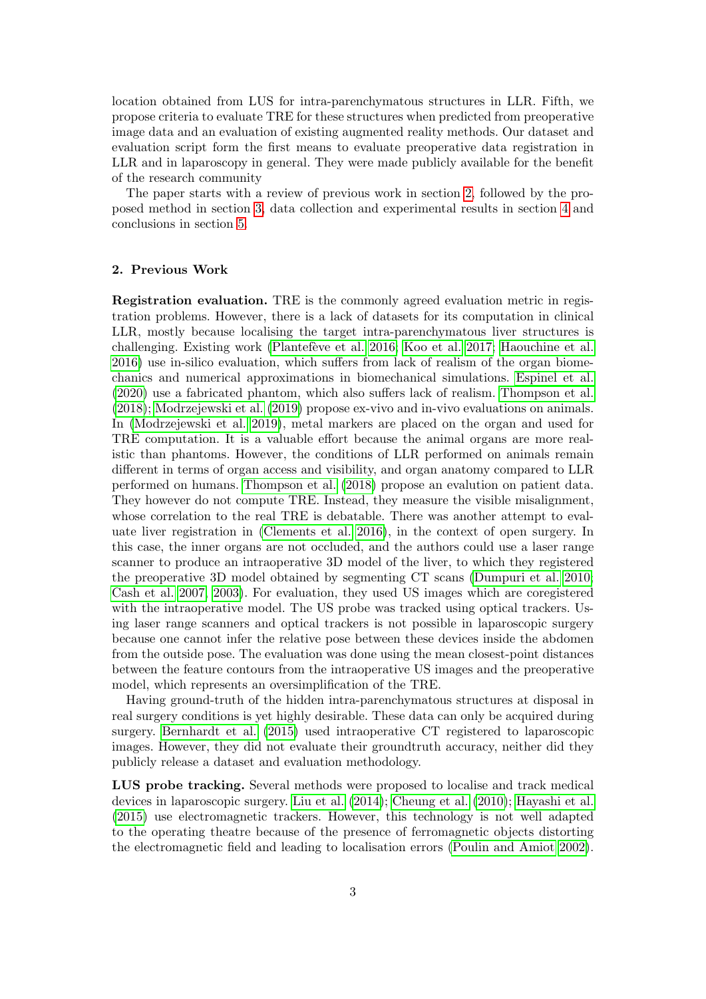location obtained from LUS for intra-parenchymatous structures in LLR. Fifth, we propose criteria to evaluate TRE for these structures when predicted from preoperative image data and an evaluation of existing augmented reality methods. Our dataset and evaluation script form the first means to evaluate preoperative data registration in LLR and in laparoscopy in general. They were made publicly available for the benefit of the research community

The paper starts with a review of previous work in section [2,](#page-2-0) followed by the proposed method in section [3,](#page-3-0) data collection and experimental results in section [4](#page-9-0) and conclusions in section [5.](#page-12-0)

# <span id="page-2-0"></span>2. Previous Work

Registration evaluation. TRE is the commonly agreed evaluation metric in registration problems. However, there is a lack of datasets for its computation in clinical LLR, mostly because localising the target intra-parenchymatous liver structures is challenging. Existing work (Plantefève et al. 2016; [Koo et al. 2017;](#page-14-1) [Haouchine et al.](#page-13-1) [2016\)](#page-13-1) use in-silico evaluation, which suffers from lack of realism of the organ biomechanics and numerical approximations in biomechanical simulations. [Espinel et al.](#page-13-2) [\(2020\)](#page-13-2) use a fabricated phantom, which also suffers lack of realism. [Thompson et al.](#page-14-3) [\(2018\)](#page-14-3); [Modrzejewski et al.](#page-14-4) [\(2019\)](#page-14-4) propose ex-vivo and in-vivo evaluations on animals. In [\(Modrzejewski et al. 2019\)](#page-14-4), metal markers are placed on the organ and used for TRE computation. It is a valuable effort because the animal organs are more realistic than phantoms. However, the conditions of LLR performed on animals remain different in terms of organ access and visibility, and organ anatomy compared to LLR performed on humans. [Thompson et al.](#page-14-3) [\(2018\)](#page-14-3) propose an evalution on patient data. They however do not compute TRE. Instead, they measure the visible misalignment, whose correlation to the real TRE is debatable. There was another attempt to evaluate liver registration in [\(Clements et al. 2016\)](#page-13-3), in the context of open surgery. In this case, the inner organs are not occluded, and the authors could use a laser range scanner to produce an intraoperative 3D model of the liver, to which they registered the preoperative 3D model obtained by segmenting CT scans [\(Dumpuri et al. 2010;](#page-13-4) [Cash et al. 2007,](#page-13-5) [2003\)](#page-13-6). For evaluation, they used US images which are coregistered with the intraoperative model. The US probe was tracked using optical trackers. Using laser range scanners and optical trackers is not possible in laparoscopic surgery because one cannot infer the relative pose between these devices inside the abdomen from the outside pose. The evaluation was done using the mean closest-point distances between the feature contours from the intraoperative US images and the preoperative model, which represents an oversimplification of the TRE.

Having ground-truth of the hidden intra-parenchymatous structures at disposal in real surgery conditions is yet highly desirable. These data can only be acquired during surgery. [Bernhardt et al.](#page-13-7) [\(2015\)](#page-13-7) used intraoperative CT registered to laparoscopic images. However, they did not evaluate their groundtruth accuracy, neither did they publicly release a dataset and evaluation methodology.

LUS probe tracking. Several methods were proposed to localise and track medical devices in laparoscopic surgery. [Liu et al.](#page-14-7) [\(2014\)](#page-14-7); [Cheung et al.](#page-13-8) [\(2010\)](#page-13-8); [Hayashi et al.](#page-13-9) [\(2015\)](#page-13-9) use electromagnetic trackers. However, this technology is not well adapted to the operating theatre because of the presence of ferromagnetic objects distorting the electromagnetic field and leading to localisation errors [\(Poulin and Amiot 2002\)](#page-14-8).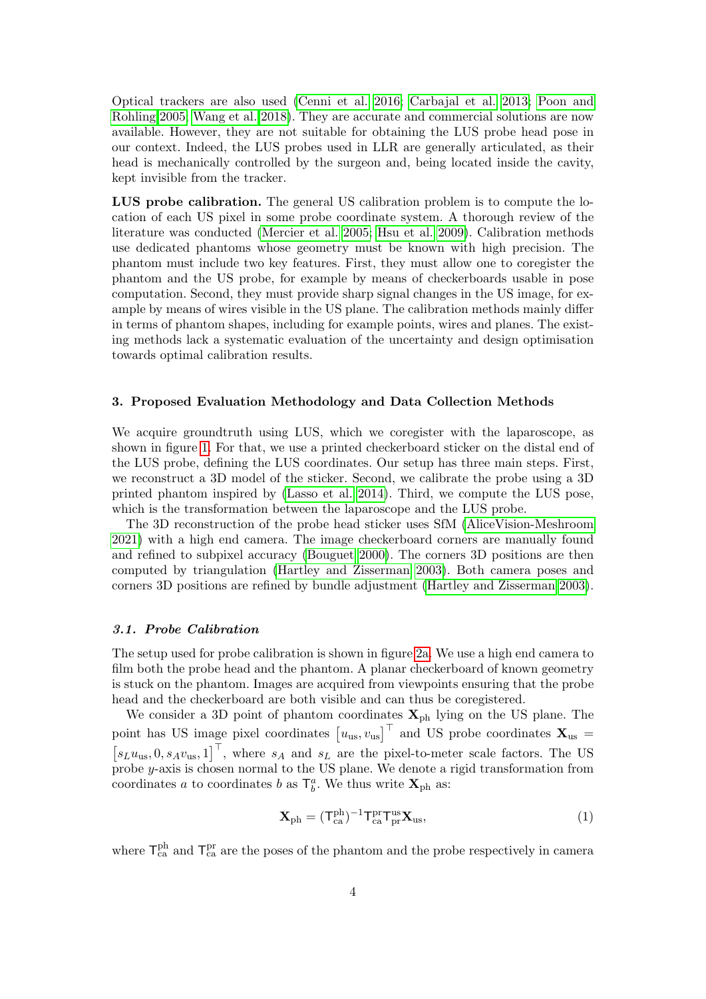Optical trackers are also used [\(Cenni et al. 2016;](#page-13-10) [Carbajal et al. 2013;](#page-13-11) [Poon and](#page-14-9) [Rohling 2005;](#page-14-9) [Wang et al. 2018\)](#page-14-10). They are accurate and commercial solutions are now available. However, they are not suitable for obtaining the LUS probe head pose in our context. Indeed, the LUS probes used in LLR are generally articulated, as their head is mechanically controlled by the surgeon and, being located inside the cavity, kept invisible from the tracker.

LUS probe calibration. The general US calibration problem is to compute the location of each US pixel in some probe coordinate system. A thorough review of the literature was conducted [\(Mercier et al. 2005;](#page-14-11) [Hsu et al. 2009\)](#page-13-12). Calibration methods use dedicated phantoms whose geometry must be known with high precision. The phantom must include two key features. First, they must allow one to coregister the phantom and the US probe, for example by means of checkerboards usable in pose computation. Second, they must provide sharp signal changes in the US image, for example by means of wires visible in the US plane. The calibration methods mainly differ in terms of phantom shapes, including for example points, wires and planes. The existing methods lack a systematic evaluation of the uncertainty and design optimisation towards optimal calibration results.

#### <span id="page-3-0"></span>3. Proposed Evaluation Methodology and Data Collection Methods

We acquire groundtruth using LUS, which we coregister with the laparoscope, as shown in figure [1.](#page-4-0) For that, we use a printed checkerboard sticker on the distal end of the LUS probe, defining the LUS coordinates. Our setup has three main steps. First, we reconstruct a 3D model of the sticker. Second, we calibrate the probe using a 3D printed phantom inspired by [\(Lasso et al. 2014\)](#page-14-12). Third, we compute the LUS pose, which is the transformation between the laparoscope and the LUS probe.

The 3D reconstruction of the probe head sticker uses SfM [\(AliceVision-Meshroom](#page-13-13) [2021\)](#page-13-13) with a high end camera. The image checkerboard corners are manually found and refined to subpixel accuracy [\(Bouguet 2000\)](#page-13-14). The corners 3D positions are then computed by triangulation [\(Hartley and Zisserman 2003\)](#page-13-15). Both camera poses and corners 3D positions are refined by bundle adjustment [\(Hartley and Zisserman 2003\)](#page-13-15).

### <span id="page-3-2"></span>3.1. Probe Calibration

The setup used for probe calibration is shown in figure [2a.](#page-5-0) We use a high end camera to film both the probe head and the phantom. A planar checkerboard of known geometry is stuck on the phantom. Images are acquired from viewpoints ensuring that the probe head and the checkerboard are both visible and can thus be coregistered.

We consider a 3D point of phantom coordinates  $\mathbf{X}_{\text{ph}}$  lying on the US plane. The point has US image pixel coordinates  $[u_{us}, v_{us}]^\top$  and US probe coordinates  $\mathbf{X}_{us}$  =  $[s_L u_{us}, 0, s_A v_{us}, 1]^\top$ , where  $s_A$  and  $s_L$  are the pixel-to-meter scale factors. The US probe y-axis is chosen normal to the US plane. We denote a rigid transformation from coordinates a to coordinates b as  $\mathsf{T}^a_b$ . We thus write  $\mathbf{X}_{\text{ph}}$  as:

<span id="page-3-1"></span>
$$
\mathbf{X}_{ph} = (\mathbf{T}_{ca}^{ph})^{-1} \mathbf{T}_{ca}^{pr} \mathbf{T}_{pr}^{us} \mathbf{X}_{us},\tag{1}
$$

where  $\mathsf{T}_{\text{ca}}^{\text{ph}}$  and  $\mathsf{T}_{\text{ca}}^{\text{pr}}$  are the poses of the phantom and the probe respectively in camera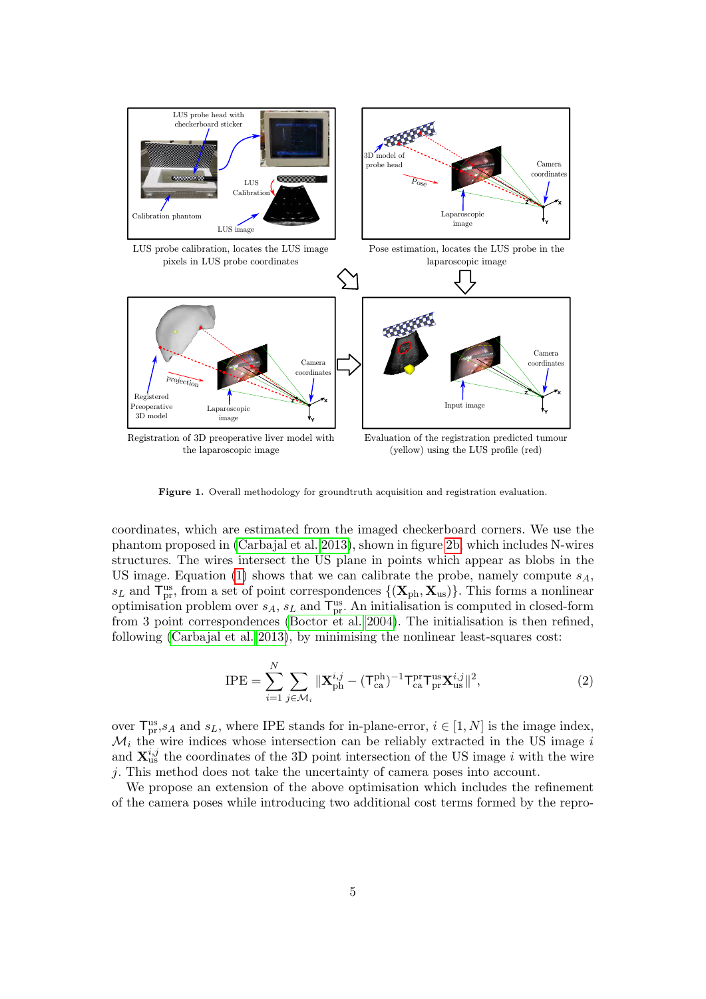

<span id="page-4-0"></span>Figure 1. Overall methodology for groundtruth acquisition and registration evaluation.

coordinates, which are estimated from the imaged checkerboard corners. We use the phantom proposed in [\(Carbajal et al. 2013\)](#page-13-11), shown in figure [2b,](#page-5-1) which includes N-wires structures. The wires intersect the US plane in points which appear as blobs in the US image. Equation [\(1\)](#page-3-1) shows that we can calibrate the probe, namely compute  $s_A$ ,  $s_L$  and  $\mathsf{T}^{\text{us}}_{\text{pr}}$ , from a set of point correspondences  $\{(\mathbf{X}_{\text{ph}}, \mathbf{X}_{\text{us}})\}\$ . This forms a nonlinear optimisation problem over  $s_A$ ,  $s_L$  and  $\mathsf{T}_{pr}^{\text{us}}$ . An initialisation is computed in closed-form from 3 point correspondences [\(Boctor et al. 2004\)](#page-13-16). The initialisation is then refined, following [\(Carbajal et al. 2013\)](#page-13-11), by minimising the nonlinear least-squares cost:

<span id="page-4-1"></span>
$$
IPE = \sum_{i=1}^{N} \sum_{j \in \mathcal{M}_i} \|\mathbf{X}_{\mathrm{ph}}^{i,j} - (\mathsf{T}_{\mathrm{ca}}^{\mathrm{ph}})^{-1} \mathsf{T}_{\mathrm{ca}}^{\mathrm{pr}} \mathsf{T}_{\mathrm{pr}}^{\mathrm{us}} \mathsf{X}_{\mathrm{us}}^{i,j}\|^2, \tag{2}
$$

over  $\mathsf{T}^{\text{us}}_{\text{pr}}$ ,  $s_A$  and  $s_L$ , where IPE stands for in-plane-error,  $i \in [1, N]$  is the image index,  $\mathcal{M}_i$  the wire indices whose intersection can be reliably extracted in the US image i and  $\mathbf{X}_{\text{us}}^{i,j}$  the coordinates of the 3D point intersection of the US image i with the wire j. This method does not take the uncertainty of camera poses into account.

We propose an extension of the above optimisation which includes the refinement of the camera poses while introducing two additional cost terms formed by the repro-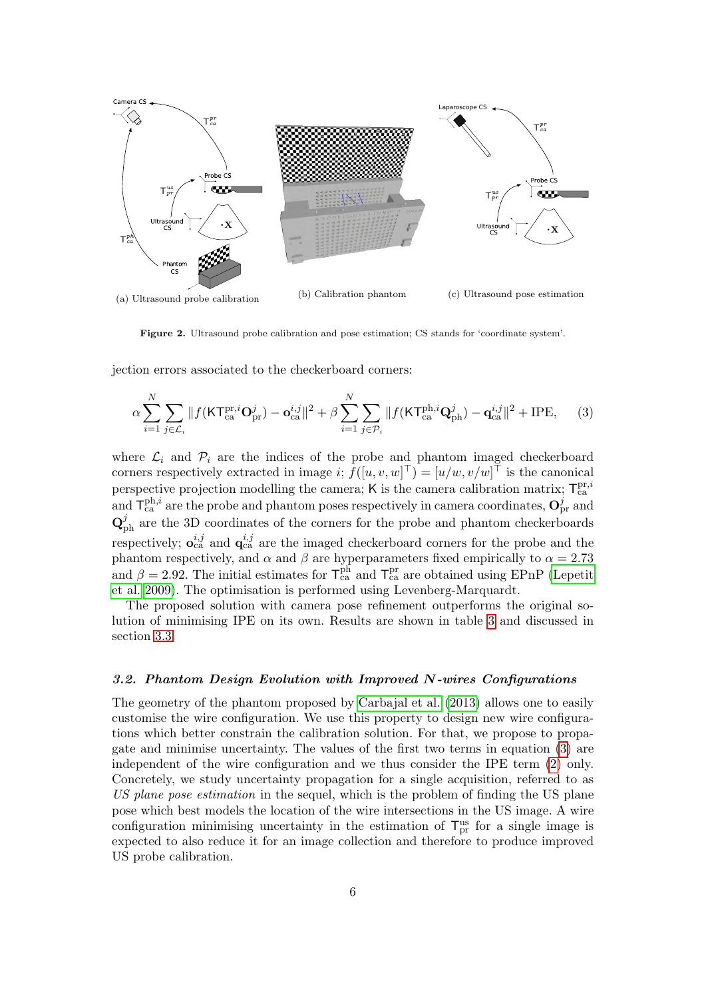<span id="page-5-0"></span>

<span id="page-5-1"></span>Figure 2. Ultrasound probe calibration and pose estimation; CS stands for 'coordinate system'.

jection errors associated to the checkerboard corners:

<span id="page-5-2"></span>
$$
\alpha \sum_{i=1}^{N} \sum_{j \in \mathcal{L}_i} \|f(\mathsf{KT}_{\mathsf{ca}}^{\mathrm{pr},i} \mathbf{O}_{\mathrm{pr}}^j) - \mathbf{o}_{\mathsf{ca}}^{i,j}\|^2 + \beta \sum_{i=1}^{N} \sum_{j \in \mathcal{P}_i} \|f(\mathsf{KT}_{\mathsf{ca}}^{\mathrm{ph},i} \mathbf{Q}_{\mathrm{ph}}^j) - \mathbf{q}_{\mathsf{ca}}^{i,j}\|^2 + \mathrm{IPE},\qquad(3)
$$

where  $\mathcal{L}_i$  and  $\mathcal{P}_i$  are the indices of the probe and phantom imaged checkerboard corners respectively extracted in image  $i; f([u, v, w]^{\top}) = [u/w, v/w]^{\top}$  is the canonical perspective projection modelling the camera; K is the camera calibration matrix;  $T_{ca}^{\text{pr},i}$ and  $T_{ca}^{\text{ph},i}$  are the probe and phantom poses respectively in camera coordinates,  $\mathbf{O}_{\text{pr}}^j$  and  $\mathbf{Q}_{\rm ph}^{j}$  are the 3D coordinates of the corners for the probe and phantom checkerboards respectively;  $o_{ca}^{i,j}$  and  $q_{ca}^{i,j}$  are the imaged checkerboard corners for the probe and the phantom respectively, and  $\alpha$  and  $\beta$  are hyperparameters fixed empirically to  $\alpha = 2.73$ and  $\beta = 2.92$ . The initial estimates for  $\mathsf{T}_{ca}^{ph}$  and  $\mathsf{T}_{ca}^{pr}$  are obtained using EPnP [\(Lepetit](#page-14-13) [et al. 2009\)](#page-14-13). The optimisation is performed using Levenberg-Marquardt.

The proposed solution with camera pose refinement outperforms the original solution of minimising IPE on its own. Results are shown in table [3](#page-9-1) and discussed in section [3.3.](#page-7-0)

#### 3.2. Phantom Design Evolution with Improved N-wires Configurations

The geometry of the phantom proposed by [Carbajal et al.](#page-13-11) [\(2013\)](#page-13-11) allows one to easily customise the wire configuration. We use this property to design new wire configurations which better constrain the calibration solution. For that, we propose to propagate and minimise uncertainty. The values of the first two terms in equation [\(3\)](#page-5-2) are independent of the wire configuration and we thus consider the IPE term [\(2\)](#page-4-1) only. Concretely, we study uncertainty propagation for a single acquisition, referred to as US plane pose estimation in the sequel, which is the problem of finding the US plane pose which best models the location of the wire intersections in the US image. A wire configuration minimising uncertainty in the estimation of  $T_{pr}^{\text{us}}$  for a single image is expected to also reduce it for an image collection and therefore to produce improved US probe calibration.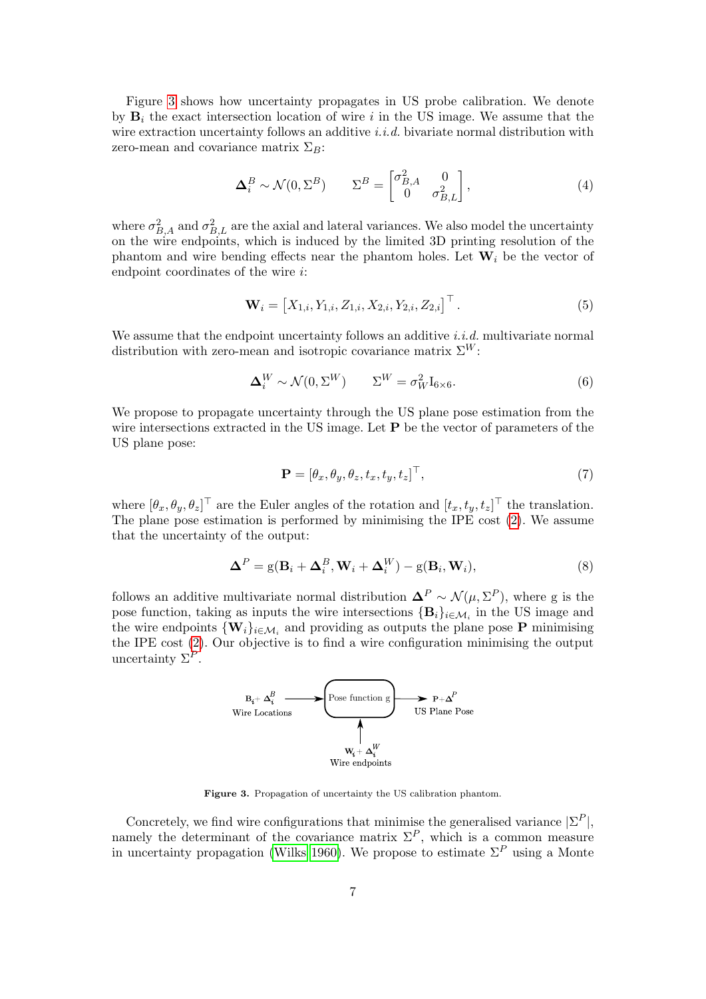Figure [3](#page-6-0) shows how uncertainty propagates in US probe calibration. We denote by  $B_i$  the exact intersection location of wire i in the US image. We assume that the wire extraction uncertainty follows an additive i.i.d. bivariate normal distribution with zero-mean and covariance matrix  $\Sigma_B$ :

$$
\Delta_i^B \sim \mathcal{N}(0, \Sigma^B) \qquad \Sigma^B = \begin{bmatrix} \sigma_{B,A}^2 & 0\\ 0 & \sigma_{B,L}^2 \end{bmatrix},\tag{4}
$$

where  $\sigma_{B,A}^2$  and  $\sigma_{B,L}^2$  are the axial and lateral variances. We also model the uncertainty on the wire endpoints, which is induced by the limited 3D printing resolution of the phantom and wire bending effects near the phantom holes. Let  $W_i$  be the vector of endpoint coordinates of the wire i:

$$
\mathbf{W}_{i} = \left[X_{1,i}, Y_{1,i}, Z_{1,i}, X_{2,i}, Y_{2,i}, Z_{2,i}\right]^{\top}.
$$
\n(5)

We assume that the endpoint uncertainty follows an additive  $i.i.d.$  multivariate normal distribution with zero-mean and isotropic covariance matrix  $\Sigma^W$ :

$$
\Delta_i^W \sim \mathcal{N}(0, \Sigma^W) \qquad \Sigma^W = \sigma_W^2 \mathbf{I}_{6 \times 6}.
$$
 (6)

We propose to propagate uncertainty through the US plane pose estimation from the wire intersections extracted in the US image. Let **P** be the vector of parameters of the US plane pose:

$$
\mathbf{P} = [\theta_x, \theta_y, \theta_z, t_x, t_y, t_z]^\top,\tag{7}
$$

where  $[\theta_x, \theta_y, \theta_z]^\top$  are the Euler angles of the rotation and  $[t_x, t_y, t_z]^\top$  the translation. The plane pose estimation is performed by minimising the IPE cost [\(2\)](#page-4-1). We assume that the uncertainty of the output:

$$
\mathbf{\Delta}^P = g(\mathbf{B}_i + \mathbf{\Delta}_i^B, \mathbf{W}_i + \mathbf{\Delta}_i^W) - g(\mathbf{B}_i, \mathbf{W}_i),
$$
\n(8)

follows an additive multivariate normal distribution  $\mathbf{\Delta}^P \sim \mathcal{N}(\mu, \Sigma^P)$ , where g is the pose function, taking as inputs the wire intersections  $\{\mathbf{B}_i\}_{i\in\mathcal{M}_i}$  in the US image and the wire endpoints  $\{W_i\}_{i\in\mathcal{M}_i}$  and providing as outputs the plane pose P minimising the IPE cost [\(2\)](#page-4-1). Our objective is to find a wire configuration minimising the output uncertainty  $\Sigma^P$ .



<span id="page-6-0"></span>Figure 3. Propagation of uncertainty the US calibration phantom.

Concretely, we find wire configurations that minimise the generalised variance  $|\Sigma^P|$ , namely the determinant of the covariance matrix  $\Sigma^P$ , which is a common measure in uncertainty propagation [\(Wilks 1960\)](#page-14-14). We propose to estimate  $\Sigma^P$  using a Monte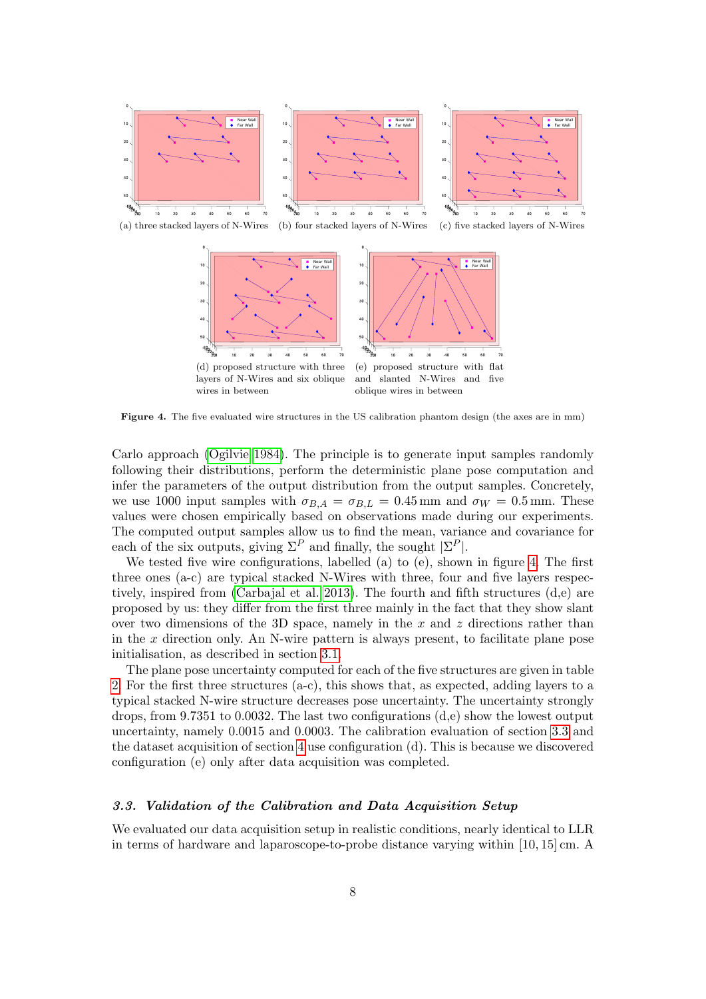

<span id="page-7-1"></span>Figure 4. The five evaluated wire structures in the US calibration phantom design (the axes are in mm)

Carlo approach [\(Ogilvie 1984\)](#page-14-15). The principle is to generate input samples randomly following their distributions, perform the deterministic plane pose computation and infer the parameters of the output distribution from the output samples. Concretely, we use 1000 input samples with  $\sigma_{B,A} = \sigma_{B,L} = 0.45$  mm and  $\sigma_W = 0.5$  mm. These values were chosen empirically based on observations made during our experiments. The computed output samples allow us to find the mean, variance and covariance for each of the six outputs, giving  $\Sigma^P$  and finally, the sought  $|\Sigma^P|$ .

We tested five wire configurations, labelled (a) to (e), shown in figure [4.](#page-7-1) The first three ones (a-c) are typical stacked N-Wires with three, four and five layers respectively, inspired from [\(Carbajal et al. 2013\)](#page-13-11). The fourth and fifth structures (d,e) are proposed by us: they differ from the first three mainly in the fact that they show slant over two dimensions of the 3D space, namely in the x and z directions rather than in the  $x$  direction only. An N-wire pattern is always present, to facilitate plane pose initialisation, as described in section [3.1.](#page-3-2)

The plane pose uncertainty computed for each of the five structures are given in table [2.](#page-8-0) For the first three structures (a-c), this shows that, as expected, adding layers to a typical stacked N-wire structure decreases pose uncertainty. The uncertainty strongly drops, from 9.7351 to 0.0032. The last two configurations (d,e) show the lowest output uncertainty, namely 0.0015 and 0.0003. The calibration evaluation of section [3.3](#page-7-0) and the dataset acquisition of section [4](#page-9-0) use configuration (d). This is because we discovered configuration (e) only after data acquisition was completed.

### <span id="page-7-0"></span>3.3. Validation of the Calibration and Data Acquisition Setup

We evaluated our data acquisition setup in realistic conditions, nearly identical to LLR in terms of hardware and laparoscope-to-probe distance varying within [10, 15] cm. A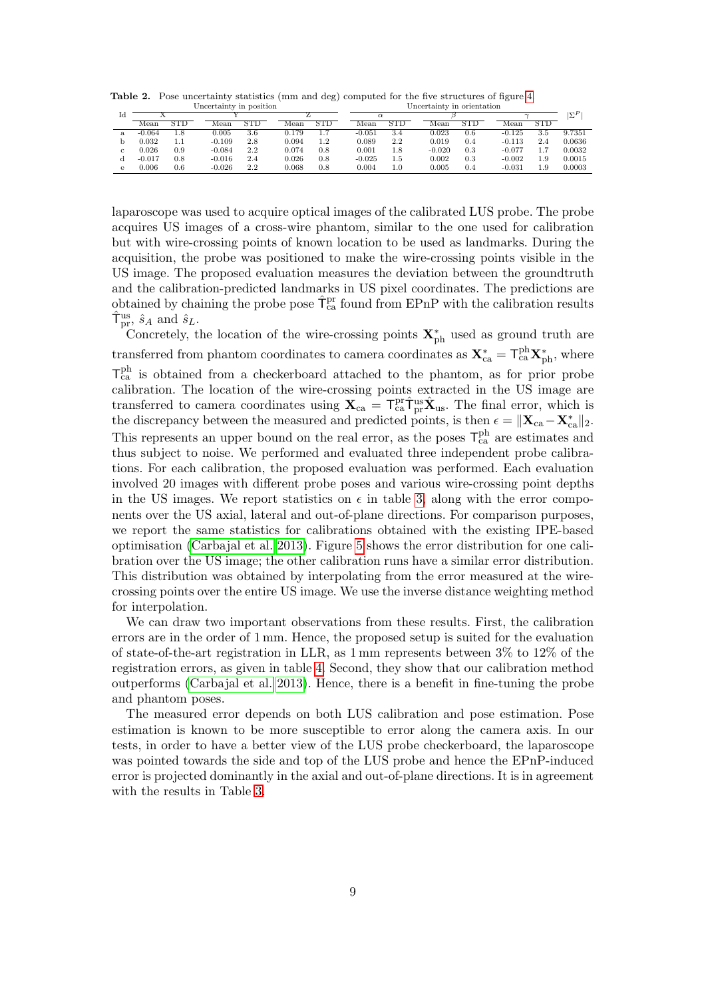<span id="page-8-0"></span>Table 2. Pose uncertainty statistics (mm and deg) computed for the five structures of figure [4.](#page-7-1)

| Uncertainty in position |          |                   |          |                   |       |          | Uncertainty in orientation |                   |          |                   |          |            |        |  |
|-------------------------|----------|-------------------|----------|-------------------|-------|----------|----------------------------|-------------------|----------|-------------------|----------|------------|--------|--|
| Тd                      |          |                   |          |                   |       | $\alpha$ |                            |                   |          |                   |          |            |        |  |
|                         | Mean     | $_{\mathrm{STD}}$ | Mean     | $_{\mathrm{STD}}$ | Mean  | STD      | Mean                       | $_{\mathrm{STD}}$ | Mean     | $_{\mathrm{STD}}$ | Mean     | <b>STD</b> |        |  |
|                         | $-0.064$ | 1.8               | 0.005    | 3.6               | 0.179 |          | $-0.051$                   | 3.4               | 0.023    | 0.6               | $-0.125$ | 3.5        | 9.7351 |  |
|                         | 0.032    | $1.1\,$           | $-0.109$ | 2.8               | 0.094 | 1.2      | 0.089                      | 2.2               | 0.019    | 0.4               | $-0.113$ | 2.4        | 0.0636 |  |
|                         | 0.026    | 0.9               | $-0.084$ | $2.2\,$           | 0.074 | 0.8      | 0.001                      | 1.8               | $-0.020$ | 0.3               | $-0.077$ |            | 0.0032 |  |
|                         | $-0.017$ | 0.8               | $-0.016$ | $2.4\,$           | 0.026 | 0.8      | $-0.025$                   | 1.5               | 0.002    | 0.3               | $-0.002$ | 1.9        | 0.0015 |  |
|                         | 0.006    | 0.6               | $-0.026$ | $2.2\,$           | 0.068 | 0.8      | 0.004                      | 1.0               | 0.005    | 0.4               | $-0.031$ | 1.9        | 0.0003 |  |

laparoscope was used to acquire optical images of the calibrated LUS probe. The probe acquires US images of a cross-wire phantom, similar to the one used for calibration but with wire-crossing points of known location to be used as landmarks. During the acquisition, the probe was positioned to make the wire-crossing points visible in the US image. The proposed evaluation measures the deviation between the groundtruth and the calibration-predicted landmarks in US pixel coordinates. The predictions are obtained by chaining the probe pose  $\hat{\mathsf{T}}_{\text{ca}}^{\text{pr}}$  found from EPnP with the calibration results  $\hat{\mathsf{T}}_{\text{pr}}^{\text{us}}, \, \hat{s}_A \text{ and } \hat{s}_L.$ 

Concretely, the location of the wire-crossing points  $\mathbf{X}_{ph}^{*}$  used as ground truth are transferred from phantom coordinates to camera coordinates as  $\mathbf{X}_{\text{ca}}^* = \mathsf{T}_{\text{ca}}^{\text{ph}} \mathbf{X}_{\text{ph}}^*$ , where  $T_{ca}^{ph}$  is obtained from a checkerboard attached to the phantom, as for prior probe calibration. The location of the wire-crossing points extracted in the US image are transferred to camera coordinates using  $\mathbf{X}_{ca} = \mathsf{T}_{ca}^{\text{pr}} \hat{\mathsf{T}}_{pr}^{\text{us}} \hat{\mathbf{X}}_{us}$ . The final error, which is the discrepancy between the measured and predicted points, is then  $\epsilon = ||\mathbf{X}_{ca} - \mathbf{X}_{ca}^*||_2$ . This represents an upper bound on the real error, as the poses  $T_{ca}^{ph}$  are estimates and thus subject to noise. We performed and evaluated three independent probe calibrations. For each calibration, the proposed evaluation was performed. Each evaluation involved 20 images with different probe poses and various wire-crossing point depths in the US images. We report statistics on  $\epsilon$  in table [3,](#page-9-1) along with the error components over the US axial, lateral and out-of-plane directions. For comparison purposes, we report the same statistics for calibrations obtained with the existing IPE-based optimisation [\(Carbajal et al. 2013\)](#page-13-11). Figure [5](#page-9-2) shows the error distribution for one calibration over the US image; the other calibration runs have a similar error distribution. This distribution was obtained by interpolating from the error measured at the wirecrossing points over the entire US image. We use the inverse distance weighting method for interpolation.

We can draw two important observations from these results. First, the calibration errors are in the order of 1 mm. Hence, the proposed setup is suited for the evaluation of state-of-the-art registration in LLR, as 1 mm represents between 3% to 12% of the registration errors, as given in table [4.](#page-12-1) Second, they show that our calibration method outperforms [\(Carbajal et al. 2013\)](#page-13-11). Hence, there is a benefit in fine-tuning the probe and phantom poses.

The measured error depends on both LUS calibration and pose estimation. Pose estimation is known to be more susceptible to error along the camera axis. In our tests, in order to have a better view of the LUS probe checkerboard, the laparoscope was pointed towards the side and top of the LUS probe and hence the EPnP-induced error is projected dominantly in the axial and out-of-plane directions. It is in agreement with the results in Table [3.](#page-9-1)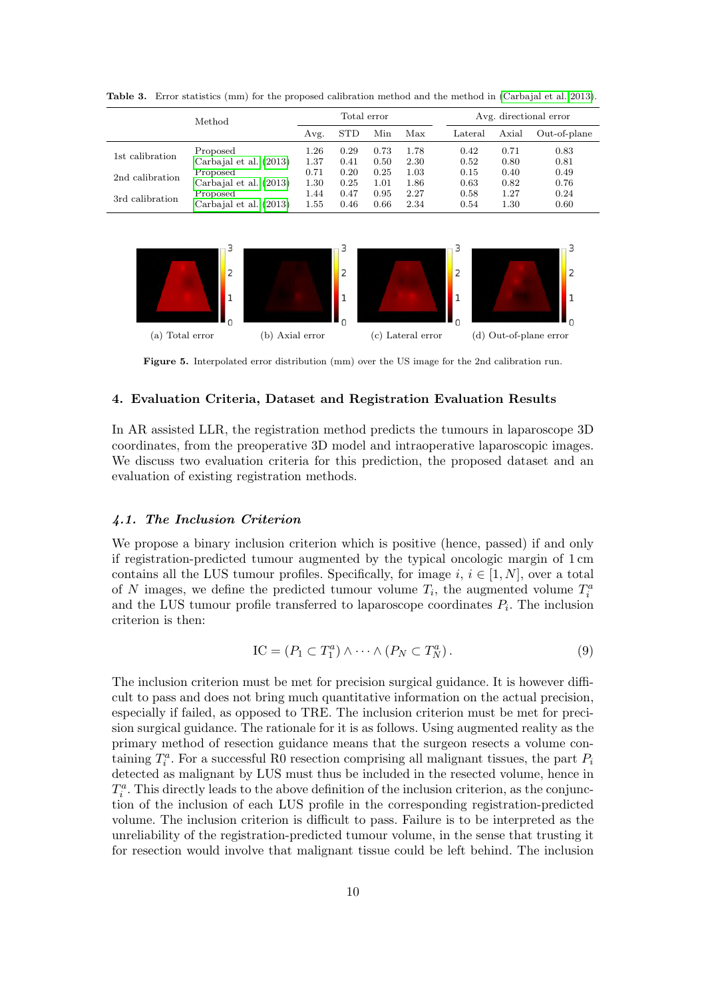|                 | Method                 | Total error |            |      |      |  | Avg. directional error |       |              |  |
|-----------------|------------------------|-------------|------------|------|------|--|------------------------|-------|--------------|--|
|                 |                        | Avg.        | <b>STD</b> | Min  | Max  |  | Lateral                | Axial | Out-of-plane |  |
| 1st calibration | Proposed               | $1.26\,$    | 0.29       | 0.73 | 1.78 |  | 0.42                   | 0.71  | 0.83         |  |
|                 | Carbajal et al. (2013) | 1.37        | 0.41       | 0.50 | 2.30 |  | 0.52                   | 0.80  | 0.81         |  |
| 2nd calibration | Proposed               | 0.71        | 0.20       | 0.25 | 1.03 |  | 0.15                   | 0.40  | 0.49         |  |
|                 | Carbajal et al. (2013) | $1.30\,$    | 0.25       | 1.01 | 1.86 |  | 0.63                   | 0.82  | 0.76         |  |
| 3rd calibration | Proposed               | 1.44        | 0.47       | 0.95 | 2.27 |  | 0.58                   | 1.27  | 0.24         |  |
|                 | Carbajal et al. (2013) | 1.55        | 0.46       | 0.66 | 2.34 |  | 0.54                   | 1.30  | 0.60         |  |

<span id="page-9-1"></span>Table 3. Error statistics (mm) for the proposed calibration method and the method in [\(Carbajal et al. 2013\)](#page-13-11).



<span id="page-9-2"></span>Figure 5. Interpolated error distribution (mm) over the US image for the 2nd calibration run.

# <span id="page-9-0"></span>4. Evaluation Criteria, Dataset and Registration Evaluation Results

In AR assisted LLR, the registration method predicts the tumours in laparoscope 3D coordinates, from the preoperative 3D model and intraoperative laparoscopic images. We discuss two evaluation criteria for this prediction, the proposed dataset and an evaluation of existing registration methods.

# 4.1. The Inclusion Criterion

We propose a binary inclusion criterion which is positive (hence, passed) if and only if registration-predicted tumour augmented by the typical oncologic margin of 1 cm contains all the LUS tumour profiles. Specifically, for image i,  $i \in [1, N]$ , over a total of N images, we define the predicted tumour volume  $T_i$ , the augmented volume  $T_i^a$ and the LUS tumour profile transferred to laparoscope coordinates  $P_i$ . The inclusion criterion is then:

$$
IC = (P_1 \subset T_1^a) \wedge \cdots \wedge (P_N \subset T_N^a).
$$
\n(9)

The inclusion criterion must be met for precision surgical guidance. It is however difficult to pass and does not bring much quantitative information on the actual precision, especially if failed, as opposed to TRE. The inclusion criterion must be met for precision surgical guidance. The rationale for it is as follows. Using augmented reality as the primary method of resection guidance means that the surgeon resects a volume containing  $T_i^a$ . For a successful R0 resection comprising all malignant tissues, the part  $P_i$ detected as malignant by LUS must thus be included in the resected volume, hence in  $T_i^a$ . This directly leads to the above definition of the inclusion criterion, as the conjunction of the inclusion of each LUS profile in the corresponding registration-predicted volume. The inclusion criterion is difficult to pass. Failure is to be interpreted as the unreliability of the registration-predicted tumour volume, in the sense that trusting it for resection would involve that malignant tissue could be left behind. The inclusion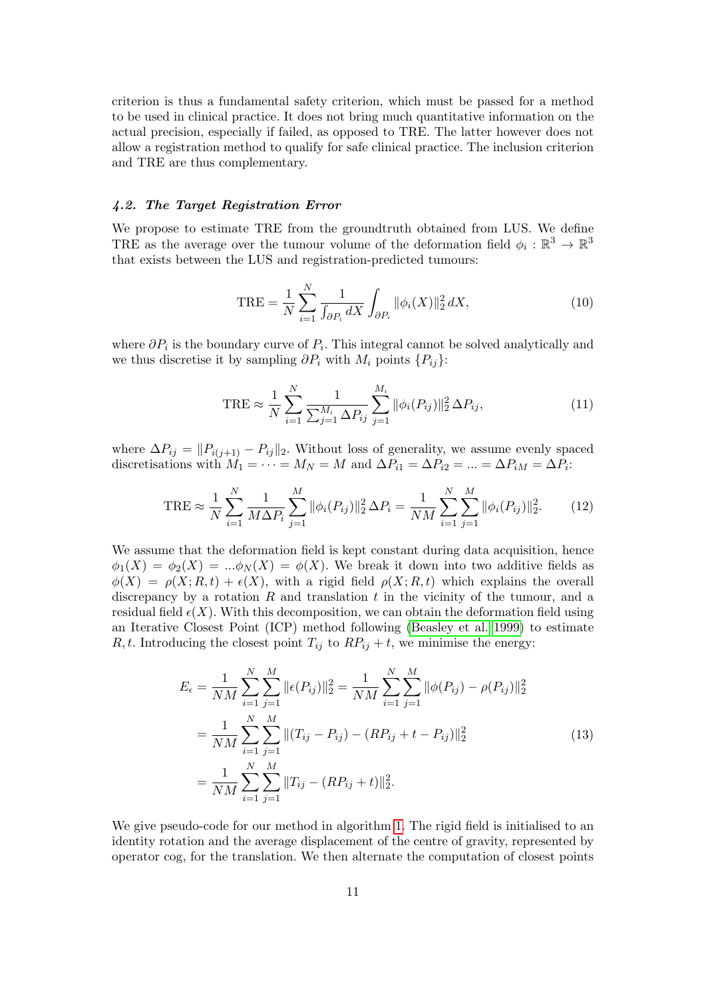criterion is thus a fundamental safety criterion, which must be passed for a method to be used in clinical practice. It does not bring much quantitative information on the actual precision, especially if failed, as opposed to TRE. The latter however does not allow a registration method to qualify for safe clinical practice. The inclusion criterion and TRE are thus complementary.

#### 4.2. The Target Registration Error

We propose to estimate TRE from the groundtruth obtained from LUS. We define TRE as the average over the tumour volume of the deformation field  $\phi_i : \mathbb{R}^3 \to \mathbb{R}^3$ that exists between the LUS and registration-predicted tumours:

$$
TRE = \frac{1}{N} \sum_{i=1}^{N} \frac{1}{\int_{\partial P_i} dX} \int_{\partial P_i} ||\phi_i(X)||_2^2 dX,
$$
 (10)

where  $\partial P_i$  is the boundary curve of  $P_i$ . This integral cannot be solved analytically and we thus discretise it by sampling  $\partial P_i$  with  $M_i$  points  $\{P_{ij}\}\$ :

$$
\text{TRE} \approx \frac{1}{N} \sum_{i=1}^{N} \frac{1}{\sum_{j=1}^{M_i} \Delta P_{ij}} \sum_{j=1}^{M_i} \|\phi_i(P_{ij})\|_2^2 \Delta P_{ij},\tag{11}
$$

where  $\Delta P_{ij} = ||P_{i(j+1)} - P_{ij}||_2$ . Without loss of generality, we assume evenly spaced discretisations with  $M_1 = \cdots = M_N = M$  and  $\Delta P_{i1} = \Delta P_{i2} = \ldots = \Delta P_{iM} = \Delta P_i$ :

$$
\text{TRE} \approx \frac{1}{N} \sum_{i=1}^{N} \frac{1}{M \Delta P_i} \sum_{j=1}^{M} \|\phi_i(P_{ij})\|_2^2 \Delta P_i = \frac{1}{NM} \sum_{i=1}^{N} \sum_{j=1}^{M} \|\phi_i(P_{ij})\|_2^2. \tag{12}
$$

We assume that the deformation field is kept constant during data acquisition, hence  $\phi_1(X) = \phi_2(X) = ... \phi_N(X) = \phi(X)$ . We break it down into two additive fields as  $\phi(X) = \rho(X; R, t) + \epsilon(X)$ , with a rigid field  $\rho(X; R, t)$  which explains the overall discrepancy by a rotation  $R$  and translation  $t$  in the vicinity of the tumour, and a residual field  $\epsilon(X)$ . With this decomposition, we can obtain the deformation field using an Iterative Closest Point (ICP) method following [\(Beasley et al. 1999\)](#page-13-17) to estimate R, t. Introducing the closest point  $T_{ij}$  to  $RP_{ij} + t$ , we minimise the energy:

$$
E_{\epsilon} = \frac{1}{NM} \sum_{i=1}^{N} \sum_{j=1}^{M} ||\epsilon(P_{ij})||_{2}^{2} = \frac{1}{NM} \sum_{i=1}^{N} \sum_{j=1}^{M} ||\phi(P_{ij}) - \rho(P_{ij})||_{2}^{2}
$$
  
= 
$$
\frac{1}{NM} \sum_{i=1}^{N} \sum_{j=1}^{M} ||(T_{ij} - P_{ij}) - (RP_{ij} + t - P_{ij})||_{2}^{2}
$$
  
= 
$$
\frac{1}{NM} \sum_{i=1}^{N} \sum_{j=1}^{M} ||T_{ij} - (RP_{ij} + t)||_{2}^{2}.
$$
 (13)

We give pseudo-code for our method in algorithm [1.](#page-11-0) The rigid field is initialised to an identity rotation and the average displacement of the centre of gravity, represented by operator cog, for the translation. We then alternate the computation of closest points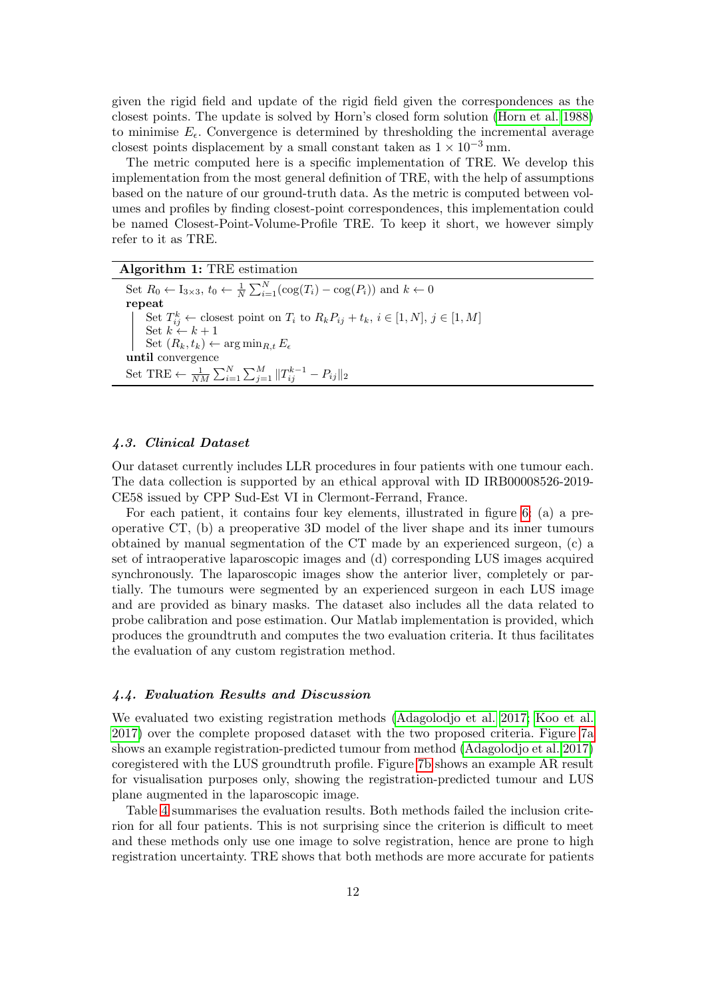given the rigid field and update of the rigid field given the correspondences as the closest points. The update is solved by Horn's closed form solution [\(Horn et al. 1988\)](#page-13-18) to minimise  $E_{\epsilon}$ . Convergence is determined by thresholding the incremental average closest points displacement by a small constant taken as  $1 \times 10^{-3}$  mm.

The metric computed here is a specific implementation of TRE. We develop this implementation from the most general definition of TRE, with the help of assumptions based on the nature of our ground-truth data. As the metric is computed between volumes and profiles by finding closest-point correspondences, this implementation could be named Closest-Point-Volume-Profile TRE. To keep it short, we however simply refer to it as TRE.

<span id="page-11-0"></span>Algorithm 1: TRE estimation

Set  $R_0 \leftarrow I_{3 \times 3}$ ,  $t_0 \leftarrow \frac{1}{N} \sum_{i=1}^{N} (\cos(T_i) - \cos(P_i))$  and  $k \leftarrow 0$ repeat Set  $T_{ij}^k \leftarrow$  closest point on  $T_i$  to  $R_k P_{ij} + t_k$ ,  $i \in [1, N]$ ,  $j \in [1, M]$ Set  $k \leftarrow k + 1$ Set  $(R_k, t_k) \leftarrow \arg \min_{R,t} E_{\epsilon}$ until convergence Set TRE  $\leftarrow \frac{1}{NM} \sum_{i=1}^{N} \sum_{j=1}^{M} ||T_{ij}^{k-1} - P_{ij}||_2$ 

# 4.3. Clinical Dataset

Our dataset currently includes LLR procedures in four patients with one tumour each. The data collection is supported by an ethical approval with ID IRB00008526-2019- CE58 issued by CPP Sud-Est VI in Clermont-Ferrand, France.

For each patient, it contains four key elements, illustrated in figure [6:](#page-12-2) (a) a preoperative CT, (b) a preoperative 3D model of the liver shape and its inner tumours obtained by manual segmentation of the CT made by an experienced surgeon, (c) a set of intraoperative laparoscopic images and (d) corresponding LUS images acquired synchronously. The laparoscopic images show the anterior liver, completely or partially. The tumours were segmented by an experienced surgeon in each LUS image and are provided as binary masks. The dataset also includes all the data related to probe calibration and pose estimation. Our Matlab implementation is provided, which produces the groundtruth and computes the two evaluation criteria. It thus facilitates the evaluation of any custom registration method.

### 4.4. Evaluation Results and Discussion

We evaluated two existing registration methods [\(Adagolodjo et al. 2017;](#page-13-0) [Koo et al.](#page-14-1) [2017\)](#page-14-1) over the complete proposed dataset with the two proposed criteria. Figure [7a](#page-15-0) shows an example registration-predicted tumour from method [\(Adagolodjo et al. 2017\)](#page-13-0) coregistered with the LUS groundtruth profile. Figure [7b](#page-15-1) shows an example AR result for visualisation purposes only, showing the registration-predicted tumour and LUS plane augmented in the laparoscopic image.

Table [4](#page-12-1) summarises the evaluation results. Both methods failed the inclusion criterion for all four patients. This is not surprising since the criterion is difficult to meet and these methods only use one image to solve registration, hence are prone to high registration uncertainty. TRE shows that both methods are more accurate for patients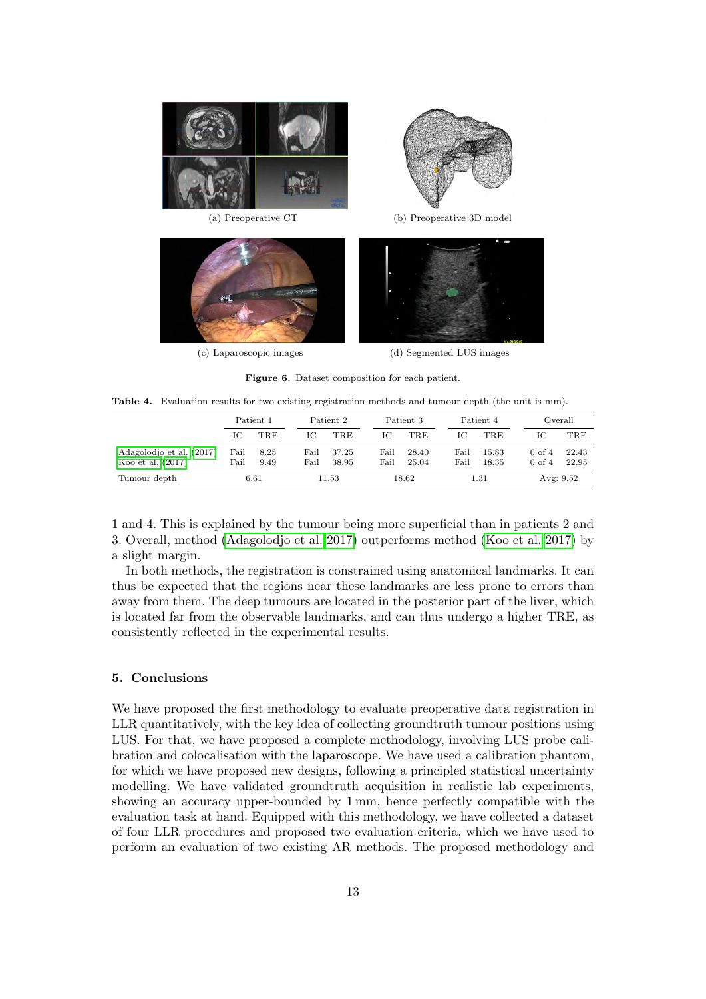

(c) Laparoscopic images (d) Segmented LUS images

<span id="page-12-2"></span>Figure 6. Dataset composition for each patient.

<span id="page-12-1"></span>

|                                                 | Patient 1    |              | Patient 2    |                |              | Patient 3      |              | Patient 4      |                                        | Overall        |  |  |
|-------------------------------------------------|--------------|--------------|--------------|----------------|--------------|----------------|--------------|----------------|----------------------------------------|----------------|--|--|
|                                                 | IС           | TRE          | Ю            | TRE            | ТC           | TRE.           | Ю            | <b>TRE</b>     | Ю                                      | <b>TRE</b>     |  |  |
| Adagolodjo et al. (2017)<br>Koo et al. $(2017)$ | Fail<br>Fail | 8.25<br>9.49 | Fail<br>Fail | 37.25<br>38.95 | Fail<br>Fail | 28.40<br>25.04 | Fail<br>Fail | 15.83<br>18.35 | $0 \text{ of } 4$<br>$0 \text{ of } 4$ | 22.43<br>22.95 |  |  |
| Tumour depth                                    | 6.61         |              |              | 11.53          |              | 18.62          |              | $1.31\,$       |                                        | Avg: $9.52$    |  |  |

1 and 4. This is explained by the tumour being more superficial than in patients 2 and 3. Overall, method [\(Adagolodjo et al. 2017\)](#page-13-0) outperforms method [\(Koo et al. 2017\)](#page-14-1) by a slight margin.

In both methods, the registration is constrained using anatomical landmarks. It can thus be expected that the regions near these landmarks are less prone to errors than away from them. The deep tumours are located in the posterior part of the liver, which is located far from the observable landmarks, and can thus undergo a higher TRE, as consistently reflected in the experimental results.

### <span id="page-12-0"></span>5. Conclusions

We have proposed the first methodology to evaluate preoperative data registration in LLR quantitatively, with the key idea of collecting groundtruth tumour positions using LUS. For that, we have proposed a complete methodology, involving LUS probe calibration and colocalisation with the laparoscope. We have used a calibration phantom, for which we have proposed new designs, following a principled statistical uncertainty modelling. We have validated groundtruth acquisition in realistic lab experiments, showing an accuracy upper-bounded by 1 mm, hence perfectly compatible with the evaluation task at hand. Equipped with this methodology, we have collected a dataset of four LLR procedures and proposed two evaluation criteria, which we have used to perform an evaluation of two existing AR methods. The proposed methodology and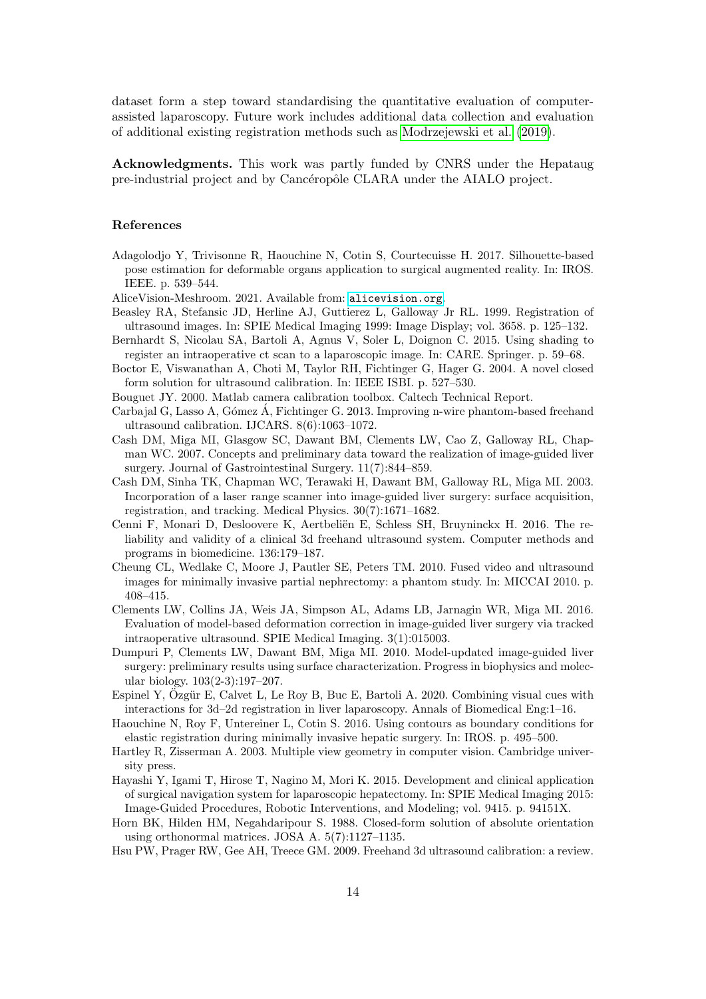dataset form a step toward standardising the quantitative evaluation of computerassisted laparoscopy. Future work includes additional data collection and evaluation of additional existing registration methods such as [Modrzejewski et al.](#page-14-4) [\(2019\)](#page-14-4).

Acknowledgments. This work was partly funded by CNRS under the Hepataug pre-industrial project and by Cancéropôle CLARA under the AIALO project.

#### References

- <span id="page-13-0"></span>Adagolodjo Y, Trivisonne R, Haouchine N, Cotin S, Courtecuisse H. 2017. Silhouette-based pose estimation for deformable organs application to surgical augmented reality. In: IROS. IEEE. p. 539–544.
- <span id="page-13-13"></span>AliceVision-Meshroom. 2021. Available from: <alicevision.org>.
- <span id="page-13-17"></span>Beasley RA, Stefansic JD, Herline AJ, Guttierez L, Galloway Jr RL. 1999. Registration of ultrasound images. In: SPIE Medical Imaging 1999: Image Display; vol. 3658. p. 125–132.
- <span id="page-13-7"></span>Bernhardt S, Nicolau SA, Bartoli A, Agnus V, Soler L, Doignon C. 2015. Using shading to register an intraoperative ct scan to a laparoscopic image. In: CARE. Springer. p. 59–68.
- <span id="page-13-16"></span>Boctor E, Viswanathan A, Choti M, Taylor RH, Fichtinger G, Hager G. 2004. A novel closed form solution for ultrasound calibration. In: IEEE ISBI. p. 527–530.
- <span id="page-13-14"></span>Bouguet JY. 2000. Matlab camera calibration toolbox. Caltech Technical Report.
- <span id="page-13-11"></span>Carbajal G, Lasso A, Gómez Á, Fichtinger G, 2013. Improving n-wire phantom-based freehand ultrasound calibration. IJCARS. 8(6):1063–1072.
- <span id="page-13-5"></span>Cash DM, Miga MI, Glasgow SC, Dawant BM, Clements LW, Cao Z, Galloway RL, Chapman WC. 2007. Concepts and preliminary data toward the realization of image-guided liver surgery. Journal of Gastrointestinal Surgery. 11(7):844–859.
- <span id="page-13-6"></span>Cash DM, Sinha TK, Chapman WC, Terawaki H, Dawant BM, Galloway RL, Miga MI. 2003. Incorporation of a laser range scanner into image-guided liver surgery: surface acquisition, registration, and tracking. Medical Physics. 30(7):1671–1682.
- <span id="page-13-10"></span>Cenni F, Monari D, Desloovere K, Aertbeliën E, Schless SH, Bruyninckx H. 2016. The reliability and validity of a clinical 3d freehand ultrasound system. Computer methods and programs in biomedicine. 136:179–187.
- <span id="page-13-8"></span>Cheung CL, Wedlake C, Moore J, Pautler SE, Peters TM. 2010. Fused video and ultrasound images for minimally invasive partial nephrectomy: a phantom study. In: MICCAI 2010. p. 408–415.
- <span id="page-13-3"></span>Clements LW, Collins JA, Weis JA, Simpson AL, Adams LB, Jarnagin WR, Miga MI. 2016. Evaluation of model-based deformation correction in image-guided liver surgery via tracked intraoperative ultrasound. SPIE Medical Imaging. 3(1):015003.
- <span id="page-13-4"></span>Dumpuri P, Clements LW, Dawant BM, Miga MI. 2010. Model-updated image-guided liver surgery: preliminary results using surface characterization. Progress in biophysics and molecular biology. 103(2-3):197–207.
- <span id="page-13-2"></span>Espinel Y,  $Oz$ gür E, Calvet L, Le Roy B, Buc E, Bartoli A. 2020. Combining visual cues with interactions for 3d–2d registration in liver laparoscopy. Annals of Biomedical Eng:1–16.
- <span id="page-13-1"></span>Haouchine N, Roy F, Untereiner L, Cotin S. 2016. Using contours as boundary conditions for elastic registration during minimally invasive hepatic surgery. In: IROS. p. 495–500.
- <span id="page-13-15"></span>Hartley R, Zisserman A. 2003. Multiple view geometry in computer vision. Cambridge university press.
- <span id="page-13-9"></span>Hayashi Y, Igami T, Hirose T, Nagino M, Mori K. 2015. Development and clinical application of surgical navigation system for laparoscopic hepatectomy. In: SPIE Medical Imaging 2015: Image-Guided Procedures, Robotic Interventions, and Modeling; vol. 9415. p. 94151X.
- <span id="page-13-18"></span>Horn BK, Hilden HM, Negahdaripour S. 1988. Closed-form solution of absolute orientation using orthonormal matrices. JOSA A. 5(7):1127–1135.
- <span id="page-13-12"></span>Hsu PW, Prager RW, Gee AH, Treece GM. 2009. Freehand 3d ultrasound calibration: a review.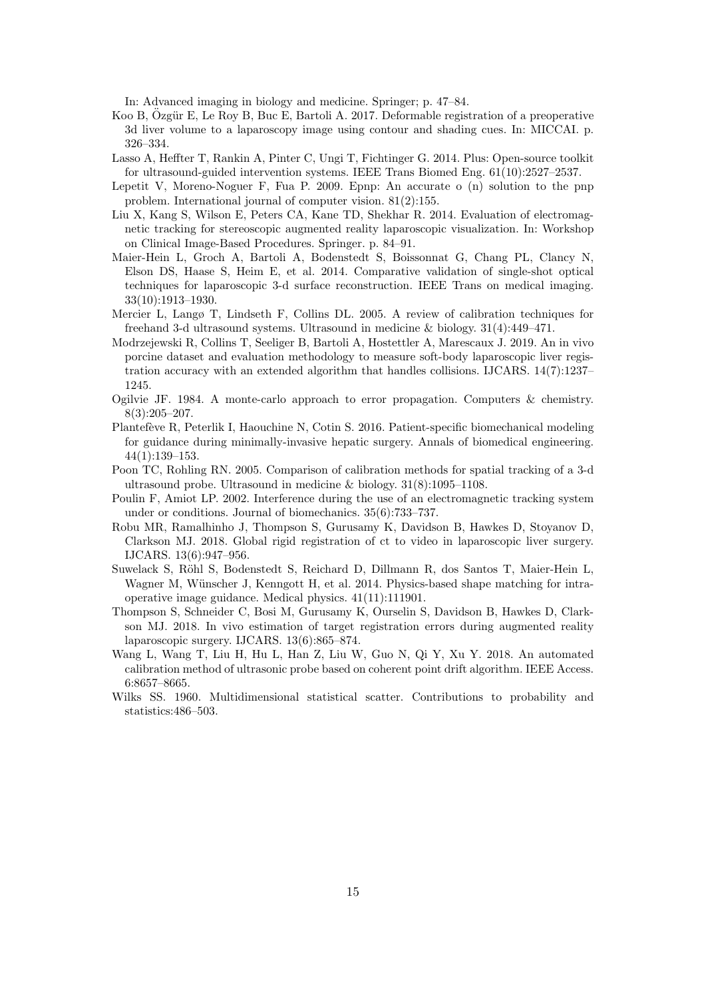In: Advanced imaging in biology and medicine. Springer; p. 47–84.

- <span id="page-14-1"></span>Koo B, Ozgür E, Le Roy B, Buc E, Bartoli A. 2017. Deformable registration of a preoperative 3d liver volume to a laparoscopy image using contour and shading cues. In: MICCAI. p. 326–334.
- <span id="page-14-12"></span>Lasso A, Heffter T, Rankin A, Pinter C, Ungi T, Fichtinger G. 2014. Plus: Open-source toolkit for ultrasound-guided intervention systems. IEEE Trans Biomed Eng. 61(10):2527–2537.
- <span id="page-14-13"></span>Lepetit V, Moreno-Noguer F, Fua P. 2009. Epnp: An accurate o (n) solution to the pnp problem. International journal of computer vision. 81(2):155.
- <span id="page-14-7"></span>Liu X, Kang S, Wilson E, Peters CA, Kane TD, Shekhar R. 2014. Evaluation of electromagnetic tracking for stereoscopic augmented reality laparoscopic visualization. In: Workshop on Clinical Image-Based Procedures. Springer. p. 84–91.
- <span id="page-14-0"></span>Maier-Hein L, Groch A, Bartoli A, Bodenstedt S, Boissonnat G, Chang PL, Clancy N, Elson DS, Haase S, Heim E, et al. 2014. Comparative validation of single-shot optical techniques for laparoscopic 3-d surface reconstruction. IEEE Trans on medical imaging. 33(10):1913–1930.
- <span id="page-14-11"></span>Mercier L, Langø T, Lindseth F, Collins DL. 2005. A review of calibration techniques for freehand 3-d ultrasound systems. Ultrasound in medicine & biology. 31(4):449–471.
- <span id="page-14-4"></span>Modrzejewski R, Collins T, Seeliger B, Bartoli A, Hostettler A, Marescaux J. 2019. An in vivo porcine dataset and evaluation methodology to measure soft-body laparoscopic liver registration accuracy with an extended algorithm that handles collisions. IJCARS. 14(7):1237– 1245.
- <span id="page-14-15"></span>Ogilvie JF. 1984. A monte-carlo approach to error propagation. Computers & chemistry. 8(3):205–207.
- <span id="page-14-6"></span>Plantefève R, Peterlik I, Haouchine N, Cotin S. 2016. Patient-specific biomechanical modeling for guidance during minimally-invasive hepatic surgery. Annals of biomedical engineering. 44(1):139–153.
- <span id="page-14-9"></span>Poon TC, Rohling RN. 2005. Comparison of calibration methods for spatial tracking of a 3-d ultrasound probe. Ultrasound in medicine & biology. 31(8):1095–1108.
- <span id="page-14-8"></span>Poulin F, Amiot LP. 2002. Interference during the use of an electromagnetic tracking system under or conditions. Journal of biomechanics. 35(6):733–737.
- <span id="page-14-2"></span>Robu MR, Ramalhinho J, Thompson S, Gurusamy K, Davidson B, Hawkes D, Stoyanov D, Clarkson MJ. 2018. Global rigid registration of ct to video in laparoscopic liver surgery. IJCARS. 13(6):947–956.
- <span id="page-14-5"></span>Suwelack S, Röhl S, Bodenstedt S, Reichard D, Dillmann R, dos Santos T, Maier-Hein L, Wagner M, Wünscher J, Kenngott H, et al. 2014. Physics-based shape matching for intraoperative image guidance. Medical physics. 41(11):111901.
- <span id="page-14-3"></span>Thompson S, Schneider C, Bosi M, Gurusamy K, Ourselin S, Davidson B, Hawkes D, Clarkson MJ. 2018. In vivo estimation of target registration errors during augmented reality laparoscopic surgery. IJCARS. 13(6):865–874.
- <span id="page-14-10"></span>Wang L, Wang T, Liu H, Hu L, Han Z, Liu W, Guo N, Qi Y, Xu Y. 2018. An automated calibration method of ultrasonic probe based on coherent point drift algorithm. IEEE Access. 6:8657–8665.
- <span id="page-14-14"></span>Wilks SS. 1960. Multidimensional statistical scatter. Contributions to probability and statistics:486–503.